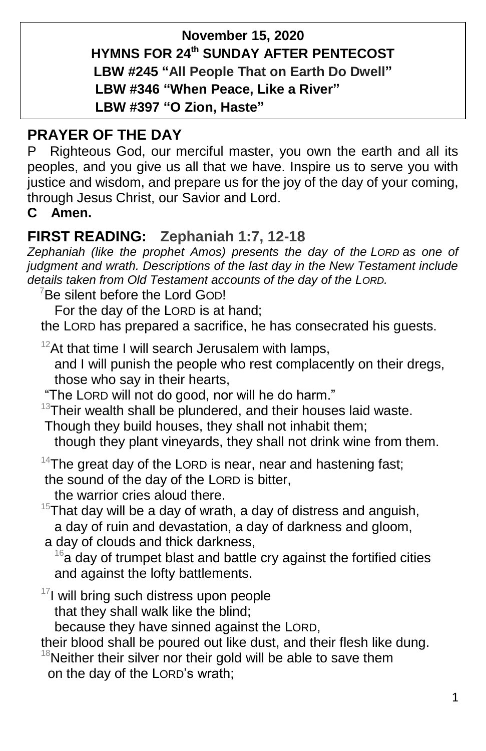# **November 15, 2020 HYMNS FOR 24 th SUNDAY AFTER PENTECOST LBW #245 "All People That on Earth Do Dwell" LBW #346 "When Peace, Like a River" LBW #397 "O Zion, Haste"**

# **PRAYER OF THE DAY**

P Righteous God, our merciful master, you own the earth and all its peoples, and you give us all that we have. Inspire us to serve you with justice and wisdom, and prepare us for the joy of the day of your coming, through Jesus Christ, our Savior and Lord.

**C Amen.**

# **FIRST READING: Zephaniah 1:7, 12-18**

*Zephaniah (like the prophet Amos) presents the day of the LORD as one of judgment and wrath. Descriptions of the last day in the New Testament include details taken from Old Testament accounts of the day of the LORD.*

<sup>7</sup>Be silent before the Lord GOD!

For the day of the LORD is at hand;

the LORD has prepared a sacrifice, he has consecrated his guests.

 $12$ At that time I will search Jerusalem with lamps,

and I will punish the people who rest complacently on their dregs, those who say in their hearts,

"The LORD will not do good, nor will he do harm."

 $13$ Their wealth shall be plundered, and their houses laid waste.

Though they build houses, they shall not inhabit them;

though they plant vineyards, they shall not drink wine from them.

 $14$ The great day of the LORD is near, near and hastening fast; the sound of the day of the LORD is bitter,

the warrior cries aloud there.

- $15$ That day will be a day of wrath, a day of distress and anguish, a day of ruin and devastation, a day of darkness and gloom,
- a day of clouds and thick darkness,

 $16a$  day of trumpet blast and battle cry against the fortified cities and against the lofty battlements.

 $17$ I will bring such distress upon people

that they shall walk like the blind;

because they have sinned against the LORD,

their blood shall be poured out like dust, and their flesh like dung.

 $18$ Neither their silver nor their gold will be able to save them on the day of the LORD's wrath;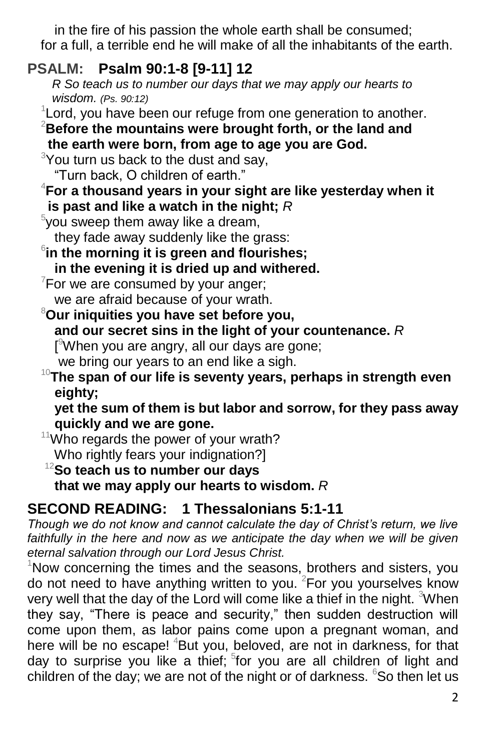in the fire of his passion the whole earth shall be consumed; for a full, a terrible end he will make of all the inhabitants of the earth.

# **PSALM: Psalm 90:1-8 [9-11] 12**

 *R So teach us to number our days that we may apply our hearts to wisdom. (Ps. 90:12)*

<sup>1</sup> Lord, you have been our refuge from one generation to another.

<sup>2</sup>**Before the mountains were brought forth, or the land and the earth were born, from age to age you are God.**

 $3$ You turn us back to the dust and say,

"Turn back, O children of earth."

<sup>4</sup>**For a thousand years in your sight are like yesterday when it is past and like a watch in the night;** *R*

 $5$ you sweep them away like a dream,

they fade away suddenly like the grass:

6 **in the morning it is green and flourishes;**

**in the evening it is dried up and withered.**

 $7$ For we are consumed by your anger; we are afraid because of your wrath.

## <sup>8</sup>**Our iniquities you have set before you, and our secret sins in the light of your countenance.** *R* [ <sup>9</sup>When you are angry, all our days are gone;

we bring our years to an end like a sigh.

## <sup>10</sup>**The span of our life is seventy years, perhaps in strength even eighty;**

**yet the sum of them is but labor and sorrow, for they pass away quickly and we are gone.**

 $11$ Who regards the power of your wrath? Who rightly fears your indignation?]

## <sup>12</sup>**So teach us to number our days that we may apply our hearts to wisdom.** *R*

# **SECOND READING: 1 Thessalonians 5:1-11**

*Though we do not know and cannot calculate the day of Christ's return, we live*  faithfully in the here and now as we anticipate the day when we will be given *eternal salvation through our Lord Jesus Christ.*

 $1$ Now concerning the times and the seasons, brothers and sisters, you do not need to have anything written to you. <sup>2</sup>For you yourselves know very well that the day of the Lord will come like a thief in the night. <sup>3</sup>When they say, "There is peace and security," then sudden destruction will come upon them, as labor pains come upon a pregnant woman, and here will be no escape! <sup>4</sup>But you, beloved, are not in darkness, for that day to surprise you like a thief; <sup>5</sup>for you are all children of light and children of the day; we are not of the night or of darkness.  $65$  then let us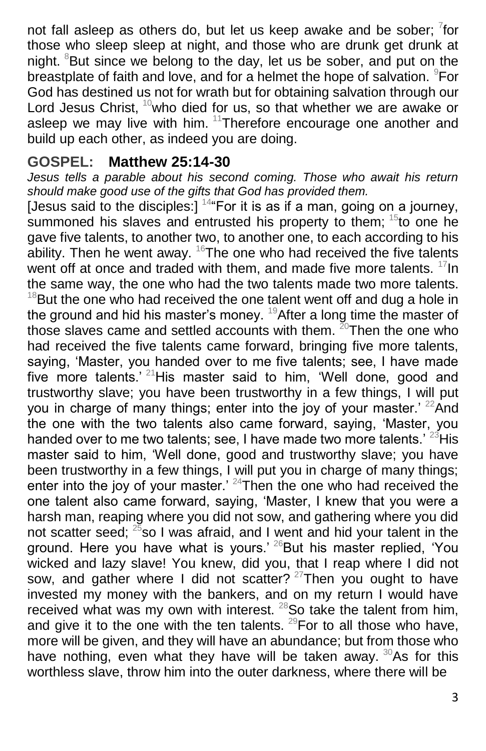not fall asleep as others do, but let us keep awake and be sober;  $7$ for those who sleep sleep at night, and those who are drunk get drunk at night.  ${}^{8}$ But since we belong to the day, let us be sober, and put on the breastplate of faith and love, and for a helmet the hope of salvation. <sup>9</sup>For God has destined us not for wrath but for obtaining salvation through our Lord Jesus Christ,  $10$  who died for us, so that whether we are awake or asleep we may live with him. <sup>11</sup>Therefore encourage one another and build up each other, as indeed you are doing.

## **GOSPEL: Matthew 25:14-30**

*Jesus tells a parable about his second coming. Those who await his return should make good use of the gifts that God has provided them.*

[Jesus said to the disciples:]  $144$  For it is as if a man, going on a journey, summoned his slaves and entrusted his property to them;  $15$  to one he gave five talents, to another two, to another one, to each according to his ability. Then he went away.  $16$ The one who had received the five talents went off at once and traded with them, and made five more talents. <sup>17</sup>In the same way, the one who had the two talents made two more talents.  $18$ But the one who had received the one talent went off and dug a hole in the ground and hid his master's money. <sup>19</sup> After a long time the master of those slaves came and settled accounts with them.  $^{20}$ Then the one who had received the five talents came forward, bringing five more talents, saying, 'Master, you handed over to me five talents; see, I have made five more talents.<sup>' 21</sup>His master said to him, 'Well done, good and trustworthy slave; you have been trustworthy in a few things, I will put you in charge of many things; enter into the joy of your master.'  $^{22}$ And the one with the two talents also came forward, saying, 'Master, you handed over to me two talents; see, I have made two more talents.<sup>' 23</sup>His master said to him, 'Well done, good and trustworthy slave; you have been trustworthy in a few things, I will put you in charge of many things; enter into the joy of your master.' <sup>24</sup>Then the one who had received the one talent also came forward, saying, 'Master, I knew that you were a harsh man, reaping where you did not sow, and gathering where you did not scatter seed;  $25$  so I was afraid, and I went and hid your talent in the ground. Here you have what is yours.' <sup>26</sup>But his master replied, 'You wicked and lazy slave! You knew, did you, that I reap where I did not sow, and gather where I did not scatter?  $27$ Then you ought to have invested my money with the bankers, and on my return I would have received what was my own with interest.<sup>28</sup>So take the talent from him, and give it to the one with the ten talents.  $^{29}$  For to all those who have, more will be given, and they will have an abundance; but from those who have nothing, even what they have will be taken away.  $30$ As for this worthless slave, throw him into the outer darkness, where there will be